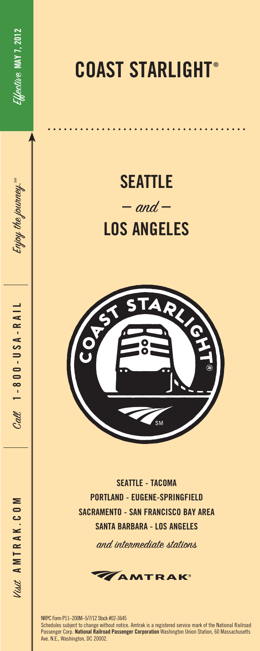Enjoy the journey. $^{\textrm{\tiny{3M}}}$ 

Enjoy the journey."

Call **1-800-USA-RAIL**

 $C_{\alpha\alpha\beta}$  1 - 8 0 0 - U S A - R A I I

## **COAST STARLIGHT ®**

## **SEATTLE**  $-$  and  $-$ **LOS ANGELES**



**SEATTLE - TACOMA PORTLAND - EUGENE-SPRINGFIELD SACRAMENTO - SAN FRANCISCO BAY AREA SANTA BARBARA - LOS ANGELES**

and intermediate stations



NRPC Form P11–200M–5/7/12 Stock #02-3645 Schedules subject to change without notice. Amtrak is a registered service mark of the National Railroad Passenger Corp. **National Railroad Passenger Corporation** Washington Union Station, 60 Massachusetts Ave. N.E., Washington, DC 20002.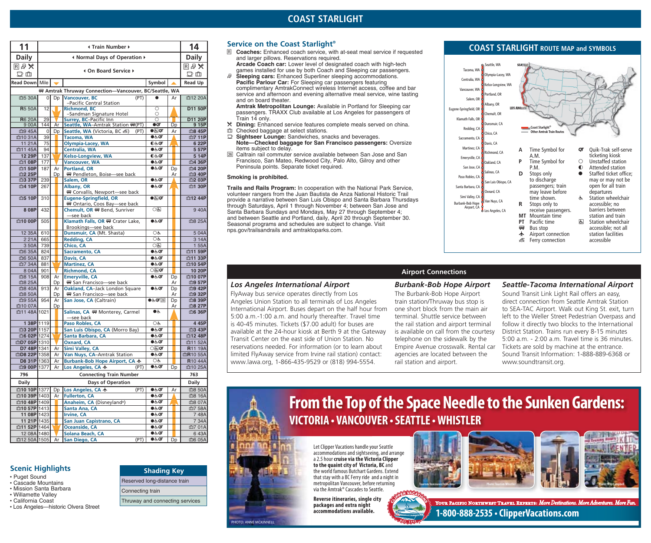| <b>Daily</b><br><b>Daily</b><br>I Normal Days of Operation ▶<br>国母义<br>国母※<br>4 On Board Service ▶<br>$\mathbb{D}$ $\mathbb{d}$<br>Dф<br><b>Read Down</b> Mile<br>Symbol<br><b>Read Up</b><br>₩ Amtrak Thruway Connection-Vancouver, BC/Seattle, WA<br><b>Vancouver, BC</b><br>血5 30A<br>D <sub>D</sub><br>(PT)<br>面12 20A<br>$\overline{0}$<br>Ar<br>-Pacific Central Station<br>$\circ$<br><b>R</b> 5 50A<br>12<br><b>Richmond, BC</b><br>D11 50P<br>$\circ$<br>-Sandman Signature Hotel<br><b>R</b> 6 20A<br>$\circ$<br>D11 20P<br>29<br>Surrey, BC-Pacific Inn<br>Seattle, WA-Amtrak Station (PT)<br>QT<br>9 15P<br>900A<br>144<br>Dp<br>Ar<br>$\bullet \circledast$ or<br>血9 45A<br>Seattle, WA (Victoria, BC 感)<br>血8 45P<br>$\overline{0}$<br>Dp<br>(PT)<br>Ar<br>$\bullet$ க்ர<br>血10 31A<br>39<br>Tacoma, WA<br>Olympia-Lacey, WA<br>$0.5$ ्या<br>6 22P<br>11 21 A<br>75<br>Centralia, WA<br>血11 45A<br>94<br>$\bullet$ க்ர<br>5 57P<br><b>Kelso-Longview, WA</b><br>12 29P<br>137<br>5 14P<br>$0$ रुं.प<br><b>Vancouver, WA</b><br>177<br>血1 08P<br>$\bullet$ க்ர<br>血4 36P<br><b>Portland, OR</b><br>血1 50P<br>187<br>$\bullet \in$ or<br>血4 20P<br>Ar<br>Dp<br>₩ Pendleton, Boise-see back<br>血2 25P<br>Dp<br>血3 40P<br>Ar<br>239<br>$\bullet$ க்.ி<br>血3 37P<br>血2 03P<br>Salem, OR<br>$\bullet$ க்ர<br>血4 10P<br>Albany, OR<br>血1 30P<br>267<br>We Corvallis, Newport-see back<br>$\bullet$ $\overline{a}$ or<br>血5 10P<br><b>Eugene-Springfield, OR</b><br>310<br>W Ontario, Coos Bay-see back<br>8 08P<br>432<br>Chemult, OR # Bend, Sunriver<br>○६<br>see back—<br>Klamath Falls, OR # Crater Lake,<br><b>血10 00P</b><br>$\bullet$ க்ர<br>505<br>血8 25A<br>Brookings-see back<br>Dunsmuir, CA (Mt. Shasta)<br>OĠ<br>12 35A<br>610<br>504A<br>OĠ<br><b>Redding, CA</b><br>665<br>3 14A<br>221A<br>0固<br>Chico, CA<br>1 55A<br>3 50A<br>739<br>Sacramento, CA<br>$\bullet \in$<br>血11 59P<br>血6 35A<br>824<br>血6 50A<br>837<br>Davis, CA<br>$\bullet$ க்ர<br>血11 33P<br><b>Martinez, CA</b><br>血7 34A<br>881<br>$\bullet$ க்ர<br>血10 54P<br>901<br><b>Richmond, CA</b><br>$\bigcirc$ ह्य $\sigma$<br>10 20P<br>8 0 4 A<br><b>Emeryville, CA</b><br>血8 15A<br>908<br>$\bullet$ க்ர<br>Ar<br>血10 07P<br>Dp<br>₩ San Francisco-see back<br>血8 25A<br>Dp<br>Ar<br>血9 57P<br>Oakland, CA-Jack London Square<br>$\bullet$ க்ர<br>血8 40A<br>913<br>血9 42P<br>Ar<br>Dp<br>血8 50A<br>₩ San Francisco-see back<br>血9 32P<br>Dp<br>Ar<br>San Jose, CA (Caltrain)<br>$\bullet$ & QT 26<br>血9 55A<br>954<br>血8 39P<br>Ar<br>Dp<br>血10 07A<br>Dp<br>Ar<br>血8 27P<br>Salinas, CA WW Monterey, Carmel<br>血11 48A 1021<br>●೬<br>血6 36P<br>-see back<br>1 38P 1119<br>Paso Robles, CA<br>OĠ<br>4 45P<br>San Luis Obispo, CA (Morro Bay)<br>血3 43P<br><b>血3 20P 1157</b><br>$\bullet$ க்ர<br>$\bullet$ க்ர<br>血6 02P 1274<br>Santa Barbara, CA<br>血12 48P<br><b>Oxnard, CA</b><br>$\bullet$ க்ர<br>血D7 05P 1310<br>血11 52A<br>$\bigcirc$ ह्य $\sigma$<br>D7 48P 1341<br><b>Simi Valley, CA</b><br>R11 19A<br>Ar<br>$\bullet$ க்.ி<br>血D8 22P 1358<br>Van Nuys, CA-Amtrak Station<br>Ar<br>血R10 55A<br>Burbank-Bob Hope Airport, CA ★<br>D8 31P 1363<br>R <sub>10</sub> 44A<br>Ar<br>OĠ<br>Los Angeles, CA $\bigstar$<br>血9 00P 1377<br>$\bullet$ க்ர<br>血10 25A<br>Ar<br>(PT)<br>Dp<br>796<br><b>Connecting Train Number</b><br>763<br><b>Daily</b><br>Days of Operation<br><b>Daily</b><br><b>血10 10P</b> 1377<br>Los Angeles, CA +<br>Dp<br>(PT)<br>●रूं.0ा<br>Ar<br><b>血10 39P 1403</b><br><b>Fullerton, CA</b><br>$\bullet$ க்ர<br>血8 16A<br>Ar<br><b>血10 48P 1409</b><br>Anaheim, CA (Disneyland®)<br>●க்⊄<br><b>₾10 57P</b> 1413<br>Santa Ana, CA<br>●रूं.0ा<br>11 08P 1423<br><b>Irvine, CA</b><br>748A<br>$\bullet$ க் $\sigma$<br>11 21P 1435<br>San Juan Capistrano, CA<br>$\bullet$ க்.<br>7 34A<br><b>血11 52P 1464</b><br><b>Oceanside, CA</b><br>$\bullet$ க்.ி<br>12 08A 1480<br>Solana Beach, CA<br>$\bullet$ க் $\sigma$<br>血12 50A 1505<br>San Diego, CA<br>(PT)<br>●रूं.0ा<br>Dp<br>Ar | 11 | ⊀ Train Number ▶ |  |  |  |  |  |  |  |  |  |  |  |
|------------------------------------------------------------------------------------------------------------------------------------------------------------------------------------------------------------------------------------------------------------------------------------------------------------------------------------------------------------------------------------------------------------------------------------------------------------------------------------------------------------------------------------------------------------------------------------------------------------------------------------------------------------------------------------------------------------------------------------------------------------------------------------------------------------------------------------------------------------------------------------------------------------------------------------------------------------------------------------------------------------------------------------------------------------------------------------------------------------------------------------------------------------------------------------------------------------------------------------------------------------------------------------------------------------------------------------------------------------------------------------------------------------------------------------------------------------------------------------------------------------------------------------------------------------------------------------------------------------------------------------------------------------------------------------------------------------------------------------------------------------------------------------------------------------------------------------------------------------------------------------------------------------------------------------------------------------------------------------------------------------------------------------------------------------------------------------------------------------------------------------------------------------------------------------------------------------------------------------------------------------------------------------------------------------------------------------------------------------------------------------------------------------------------------------------------------------------------------------------------------------------------------------------------------------------------------------------------------------------------------------------------------------------------------------------------------------------------------------------------------------------------------------------------------------------------------------------------------------------------------------------------------------------------------------------------------------------------------------------------------------------------------------------------------------------------------------------------------------------------------------------------------------------------------------------------------------------------------------------------------------------------------------------------------------------------------------------------------------------------------------------------------------------------------------------------------------------------------------------------------------------------------------------------------------------------------------------------------------------------------------------------------------------------------------------------------------------------------------------------------------------------------------------------------------------------------------------------------------------------------------------------------------------------------------------------------------------------------------------------------|----|------------------|--|--|--|--|--|--|--|--|--|--|--|
|                                                                                                                                                                                                                                                                                                                                                                                                                                                                                                                                                                                                                                                                                                                                                                                                                                                                                                                                                                                                                                                                                                                                                                                                                                                                                                                                                                                                                                                                                                                                                                                                                                                                                                                                                                                                                                                                                                                                                                                                                                                                                                                                                                                                                                                                                                                                                                                                                                                                                                                                                                                                                                                                                                                                                                                                                                                                                                                                                                                                                                                                                                                                                                                                                                                                                                                                                                                                                                                                                                                                                                                                                                                                                                                                                                                                                                                                                                                                                                                                      |    |                  |  |  |  |  |  |  |  |  |  |  |  |
|                                                                                                                                                                                                                                                                                                                                                                                                                                                                                                                                                                                                                                                                                                                                                                                                                                                                                                                                                                                                                                                                                                                                                                                                                                                                                                                                                                                                                                                                                                                                                                                                                                                                                                                                                                                                                                                                                                                                                                                                                                                                                                                                                                                                                                                                                                                                                                                                                                                                                                                                                                                                                                                                                                                                                                                                                                                                                                                                                                                                                                                                                                                                                                                                                                                                                                                                                                                                                                                                                                                                                                                                                                                                                                                                                                                                                                                                                                                                                                                                      |    |                  |  |  |  |  |  |  |  |  |  |  |  |
|                                                                                                                                                                                                                                                                                                                                                                                                                                                                                                                                                                                                                                                                                                                                                                                                                                                                                                                                                                                                                                                                                                                                                                                                                                                                                                                                                                                                                                                                                                                                                                                                                                                                                                                                                                                                                                                                                                                                                                                                                                                                                                                                                                                                                                                                                                                                                                                                                                                                                                                                                                                                                                                                                                                                                                                                                                                                                                                                                                                                                                                                                                                                                                                                                                                                                                                                                                                                                                                                                                                                                                                                                                                                                                                                                                                                                                                                                                                                                                                                      |    |                  |  |  |  |  |  |  |  |  |  |  |  |
|                                                                                                                                                                                                                                                                                                                                                                                                                                                                                                                                                                                                                                                                                                                                                                                                                                                                                                                                                                                                                                                                                                                                                                                                                                                                                                                                                                                                                                                                                                                                                                                                                                                                                                                                                                                                                                                                                                                                                                                                                                                                                                                                                                                                                                                                                                                                                                                                                                                                                                                                                                                                                                                                                                                                                                                                                                                                                                                                                                                                                                                                                                                                                                                                                                                                                                                                                                                                                                                                                                                                                                                                                                                                                                                                                                                                                                                                                                                                                                                                      |    |                  |  |  |  |  |  |  |  |  |  |  |  |
|                                                                                                                                                                                                                                                                                                                                                                                                                                                                                                                                                                                                                                                                                                                                                                                                                                                                                                                                                                                                                                                                                                                                                                                                                                                                                                                                                                                                                                                                                                                                                                                                                                                                                                                                                                                                                                                                                                                                                                                                                                                                                                                                                                                                                                                                                                                                                                                                                                                                                                                                                                                                                                                                                                                                                                                                                                                                                                                                                                                                                                                                                                                                                                                                                                                                                                                                                                                                                                                                                                                                                                                                                                                                                                                                                                                                                                                                                                                                                                                                      |    |                  |  |  |  |  |  |  |  |  |  |  |  |
|                                                                                                                                                                                                                                                                                                                                                                                                                                                                                                                                                                                                                                                                                                                                                                                                                                                                                                                                                                                                                                                                                                                                                                                                                                                                                                                                                                                                                                                                                                                                                                                                                                                                                                                                                                                                                                                                                                                                                                                                                                                                                                                                                                                                                                                                                                                                                                                                                                                                                                                                                                                                                                                                                                                                                                                                                                                                                                                                                                                                                                                                                                                                                                                                                                                                                                                                                                                                                                                                                                                                                                                                                                                                                                                                                                                                                                                                                                                                                                                                      |    |                  |  |  |  |  |  |  |  |  |  |  |  |
|                                                                                                                                                                                                                                                                                                                                                                                                                                                                                                                                                                                                                                                                                                                                                                                                                                                                                                                                                                                                                                                                                                                                                                                                                                                                                                                                                                                                                                                                                                                                                                                                                                                                                                                                                                                                                                                                                                                                                                                                                                                                                                                                                                                                                                                                                                                                                                                                                                                                                                                                                                                                                                                                                                                                                                                                                                                                                                                                                                                                                                                                                                                                                                                                                                                                                                                                                                                                                                                                                                                                                                                                                                                                                                                                                                                                                                                                                                                                                                                                      |    |                  |  |  |  |  |  |  |  |  |  |  |  |
|                                                                                                                                                                                                                                                                                                                                                                                                                                                                                                                                                                                                                                                                                                                                                                                                                                                                                                                                                                                                                                                                                                                                                                                                                                                                                                                                                                                                                                                                                                                                                                                                                                                                                                                                                                                                                                                                                                                                                                                                                                                                                                                                                                                                                                                                                                                                                                                                                                                                                                                                                                                                                                                                                                                                                                                                                                                                                                                                                                                                                                                                                                                                                                                                                                                                                                                                                                                                                                                                                                                                                                                                                                                                                                                                                                                                                                                                                                                                                                                                      |    |                  |  |  |  |  |  |  |  |  |  |  |  |
| 血7 11P<br>血12 44P<br>940A<br><b>血8 50A</b><br>血8 07A<br>血7 58A<br>血7 01A<br>643A<br>血6 05A                                                                                                                                                                                                                                                                                                                                                                                                                                                                                                                                                                                                                                                                                                                                                                                                                                                                                                                                                                                                                                                                                                                                                                                                                                                                                                                                                                                                                                                                                                                                                                                                                                                                                                                                                                                                                                                                                                                                                                                                                                                                                                                                                                                                                                                                                                                                                                                                                                                                                                                                                                                                                                                                                                                                                                                                                                                                                                                                                                                                                                                                                                                                                                                                                                                                                                                                                                                                                                                                                                                                                                                                                                                                                                                                                                                                                                                                                                           |    |                  |  |  |  |  |  |  |  |  |  |  |  |
|                                                                                                                                                                                                                                                                                                                                                                                                                                                                                                                                                                                                                                                                                                                                                                                                                                                                                                                                                                                                                                                                                                                                                                                                                                                                                                                                                                                                                                                                                                                                                                                                                                                                                                                                                                                                                                                                                                                                                                                                                                                                                                                                                                                                                                                                                                                                                                                                                                                                                                                                                                                                                                                                                                                                                                                                                                                                                                                                                                                                                                                                                                                                                                                                                                                                                                                                                                                                                                                                                                                                                                                                                                                                                                                                                                                                                                                                                                                                                                                                      |    |                  |  |  |  |  |  |  |  |  |  |  |  |
|                                                                                                                                                                                                                                                                                                                                                                                                                                                                                                                                                                                                                                                                                                                                                                                                                                                                                                                                                                                                                                                                                                                                                                                                                                                                                                                                                                                                                                                                                                                                                                                                                                                                                                                                                                                                                                                                                                                                                                                                                                                                                                                                                                                                                                                                                                                                                                                                                                                                                                                                                                                                                                                                                                                                                                                                                                                                                                                                                                                                                                                                                                                                                                                                                                                                                                                                                                                                                                                                                                                                                                                                                                                                                                                                                                                                                                                                                                                                                                                                      |    |                  |  |  |  |  |  |  |  |  |  |  |  |
|                                                                                                                                                                                                                                                                                                                                                                                                                                                                                                                                                                                                                                                                                                                                                                                                                                                                                                                                                                                                                                                                                                                                                                                                                                                                                                                                                                                                                                                                                                                                                                                                                                                                                                                                                                                                                                                                                                                                                                                                                                                                                                                                                                                                                                                                                                                                                                                                                                                                                                                                                                                                                                                                                                                                                                                                                                                                                                                                                                                                                                                                                                                                                                                                                                                                                                                                                                                                                                                                                                                                                                                                                                                                                                                                                                                                                                                                                                                                                                                                      |    |                  |  |  |  |  |  |  |  |  |  |  |  |
|                                                                                                                                                                                                                                                                                                                                                                                                                                                                                                                                                                                                                                                                                                                                                                                                                                                                                                                                                                                                                                                                                                                                                                                                                                                                                                                                                                                                                                                                                                                                                                                                                                                                                                                                                                                                                                                                                                                                                                                                                                                                                                                                                                                                                                                                                                                                                                                                                                                                                                                                                                                                                                                                                                                                                                                                                                                                                                                                                                                                                                                                                                                                                                                                                                                                                                                                                                                                                                                                                                                                                                                                                                                                                                                                                                                                                                                                                                                                                                                                      |    |                  |  |  |  |  |  |  |  |  |  |  |  |
|                                                                                                                                                                                                                                                                                                                                                                                                                                                                                                                                                                                                                                                                                                                                                                                                                                                                                                                                                                                                                                                                                                                                                                                                                                                                                                                                                                                                                                                                                                                                                                                                                                                                                                                                                                                                                                                                                                                                                                                                                                                                                                                                                                                                                                                                                                                                                                                                                                                                                                                                                                                                                                                                                                                                                                                                                                                                                                                                                                                                                                                                                                                                                                                                                                                                                                                                                                                                                                                                                                                                                                                                                                                                                                                                                                                                                                                                                                                                                                                                      |    |                  |  |  |  |  |  |  |  |  |  |  |  |
|                                                                                                                                                                                                                                                                                                                                                                                                                                                                                                                                                                                                                                                                                                                                                                                                                                                                                                                                                                                                                                                                                                                                                                                                                                                                                                                                                                                                                                                                                                                                                                                                                                                                                                                                                                                                                                                                                                                                                                                                                                                                                                                                                                                                                                                                                                                                                                                                                                                                                                                                                                                                                                                                                                                                                                                                                                                                                                                                                                                                                                                                                                                                                                                                                                                                                                                                                                                                                                                                                                                                                                                                                                                                                                                                                                                                                                                                                                                                                                                                      |    |                  |  |  |  |  |  |  |  |  |  |  |  |
|                                                                                                                                                                                                                                                                                                                                                                                                                                                                                                                                                                                                                                                                                                                                                                                                                                                                                                                                                                                                                                                                                                                                                                                                                                                                                                                                                                                                                                                                                                                                                                                                                                                                                                                                                                                                                                                                                                                                                                                                                                                                                                                                                                                                                                                                                                                                                                                                                                                                                                                                                                                                                                                                                                                                                                                                                                                                                                                                                                                                                                                                                                                                                                                                                                                                                                                                                                                                                                                                                                                                                                                                                                                                                                                                                                                                                                                                                                                                                                                                      |    |                  |  |  |  |  |  |  |  |  |  |  |  |
|                                                                                                                                                                                                                                                                                                                                                                                                                                                                                                                                                                                                                                                                                                                                                                                                                                                                                                                                                                                                                                                                                                                                                                                                                                                                                                                                                                                                                                                                                                                                                                                                                                                                                                                                                                                                                                                                                                                                                                                                                                                                                                                                                                                                                                                                                                                                                                                                                                                                                                                                                                                                                                                                                                                                                                                                                                                                                                                                                                                                                                                                                                                                                                                                                                                                                                                                                                                                                                                                                                                                                                                                                                                                                                                                                                                                                                                                                                                                                                                                      |    |                  |  |  |  |  |  |  |  |  |  |  |  |
|                                                                                                                                                                                                                                                                                                                                                                                                                                                                                                                                                                                                                                                                                                                                                                                                                                                                                                                                                                                                                                                                                                                                                                                                                                                                                                                                                                                                                                                                                                                                                                                                                                                                                                                                                                                                                                                                                                                                                                                                                                                                                                                                                                                                                                                                                                                                                                                                                                                                                                                                                                                                                                                                                                                                                                                                                                                                                                                                                                                                                                                                                                                                                                                                                                                                                                                                                                                                                                                                                                                                                                                                                                                                                                                                                                                                                                                                                                                                                                                                      |    |                  |  |  |  |  |  |  |  |  |  |  |  |
|                                                                                                                                                                                                                                                                                                                                                                                                                                                                                                                                                                                                                                                                                                                                                                                                                                                                                                                                                                                                                                                                                                                                                                                                                                                                                                                                                                                                                                                                                                                                                                                                                                                                                                                                                                                                                                                                                                                                                                                                                                                                                                                                                                                                                                                                                                                                                                                                                                                                                                                                                                                                                                                                                                                                                                                                                                                                                                                                                                                                                                                                                                                                                                                                                                                                                                                                                                                                                                                                                                                                                                                                                                                                                                                                                                                                                                                                                                                                                                                                      |    |                  |  |  |  |  |  |  |  |  |  |  |  |
|                                                                                                                                                                                                                                                                                                                                                                                                                                                                                                                                                                                                                                                                                                                                                                                                                                                                                                                                                                                                                                                                                                                                                                                                                                                                                                                                                                                                                                                                                                                                                                                                                                                                                                                                                                                                                                                                                                                                                                                                                                                                                                                                                                                                                                                                                                                                                                                                                                                                                                                                                                                                                                                                                                                                                                                                                                                                                                                                                                                                                                                                                                                                                                                                                                                                                                                                                                                                                                                                                                                                                                                                                                                                                                                                                                                                                                                                                                                                                                                                      |    |                  |  |  |  |  |  |  |  |  |  |  |  |
|                                                                                                                                                                                                                                                                                                                                                                                                                                                                                                                                                                                                                                                                                                                                                                                                                                                                                                                                                                                                                                                                                                                                                                                                                                                                                                                                                                                                                                                                                                                                                                                                                                                                                                                                                                                                                                                                                                                                                                                                                                                                                                                                                                                                                                                                                                                                                                                                                                                                                                                                                                                                                                                                                                                                                                                                                                                                                                                                                                                                                                                                                                                                                                                                                                                                                                                                                                                                                                                                                                                                                                                                                                                                                                                                                                                                                                                                                                                                                                                                      |    |                  |  |  |  |  |  |  |  |  |  |  |  |
|                                                                                                                                                                                                                                                                                                                                                                                                                                                                                                                                                                                                                                                                                                                                                                                                                                                                                                                                                                                                                                                                                                                                                                                                                                                                                                                                                                                                                                                                                                                                                                                                                                                                                                                                                                                                                                                                                                                                                                                                                                                                                                                                                                                                                                                                                                                                                                                                                                                                                                                                                                                                                                                                                                                                                                                                                                                                                                                                                                                                                                                                                                                                                                                                                                                                                                                                                                                                                                                                                                                                                                                                                                                                                                                                                                                                                                                                                                                                                                                                      |    |                  |  |  |  |  |  |  |  |  |  |  |  |
|                                                                                                                                                                                                                                                                                                                                                                                                                                                                                                                                                                                                                                                                                                                                                                                                                                                                                                                                                                                                                                                                                                                                                                                                                                                                                                                                                                                                                                                                                                                                                                                                                                                                                                                                                                                                                                                                                                                                                                                                                                                                                                                                                                                                                                                                                                                                                                                                                                                                                                                                                                                                                                                                                                                                                                                                                                                                                                                                                                                                                                                                                                                                                                                                                                                                                                                                                                                                                                                                                                                                                                                                                                                                                                                                                                                                                                                                                                                                                                                                      |    |                  |  |  |  |  |  |  |  |  |  |  |  |
|                                                                                                                                                                                                                                                                                                                                                                                                                                                                                                                                                                                                                                                                                                                                                                                                                                                                                                                                                                                                                                                                                                                                                                                                                                                                                                                                                                                                                                                                                                                                                                                                                                                                                                                                                                                                                                                                                                                                                                                                                                                                                                                                                                                                                                                                                                                                                                                                                                                                                                                                                                                                                                                                                                                                                                                                                                                                                                                                                                                                                                                                                                                                                                                                                                                                                                                                                                                                                                                                                                                                                                                                                                                                                                                                                                                                                                                                                                                                                                                                      |    |                  |  |  |  |  |  |  |  |  |  |  |  |
|                                                                                                                                                                                                                                                                                                                                                                                                                                                                                                                                                                                                                                                                                                                                                                                                                                                                                                                                                                                                                                                                                                                                                                                                                                                                                                                                                                                                                                                                                                                                                                                                                                                                                                                                                                                                                                                                                                                                                                                                                                                                                                                                                                                                                                                                                                                                                                                                                                                                                                                                                                                                                                                                                                                                                                                                                                                                                                                                                                                                                                                                                                                                                                                                                                                                                                                                                                                                                                                                                                                                                                                                                                                                                                                                                                                                                                                                                                                                                                                                      |    |                  |  |  |  |  |  |  |  |  |  |  |  |
|                                                                                                                                                                                                                                                                                                                                                                                                                                                                                                                                                                                                                                                                                                                                                                                                                                                                                                                                                                                                                                                                                                                                                                                                                                                                                                                                                                                                                                                                                                                                                                                                                                                                                                                                                                                                                                                                                                                                                                                                                                                                                                                                                                                                                                                                                                                                                                                                                                                                                                                                                                                                                                                                                                                                                                                                                                                                                                                                                                                                                                                                                                                                                                                                                                                                                                                                                                                                                                                                                                                                                                                                                                                                                                                                                                                                                                                                                                                                                                                                      |    |                  |  |  |  |  |  |  |  |  |  |  |  |
|                                                                                                                                                                                                                                                                                                                                                                                                                                                                                                                                                                                                                                                                                                                                                                                                                                                                                                                                                                                                                                                                                                                                                                                                                                                                                                                                                                                                                                                                                                                                                                                                                                                                                                                                                                                                                                                                                                                                                                                                                                                                                                                                                                                                                                                                                                                                                                                                                                                                                                                                                                                                                                                                                                                                                                                                                                                                                                                                                                                                                                                                                                                                                                                                                                                                                                                                                                                                                                                                                                                                                                                                                                                                                                                                                                                                                                                                                                                                                                                                      |    |                  |  |  |  |  |  |  |  |  |  |  |  |
|                                                                                                                                                                                                                                                                                                                                                                                                                                                                                                                                                                                                                                                                                                                                                                                                                                                                                                                                                                                                                                                                                                                                                                                                                                                                                                                                                                                                                                                                                                                                                                                                                                                                                                                                                                                                                                                                                                                                                                                                                                                                                                                                                                                                                                                                                                                                                                                                                                                                                                                                                                                                                                                                                                                                                                                                                                                                                                                                                                                                                                                                                                                                                                                                                                                                                                                                                                                                                                                                                                                                                                                                                                                                                                                                                                                                                                                                                                                                                                                                      |    |                  |  |  |  |  |  |  |  |  |  |  |  |
|                                                                                                                                                                                                                                                                                                                                                                                                                                                                                                                                                                                                                                                                                                                                                                                                                                                                                                                                                                                                                                                                                                                                                                                                                                                                                                                                                                                                                                                                                                                                                                                                                                                                                                                                                                                                                                                                                                                                                                                                                                                                                                                                                                                                                                                                                                                                                                                                                                                                                                                                                                                                                                                                                                                                                                                                                                                                                                                                                                                                                                                                                                                                                                                                                                                                                                                                                                                                                                                                                                                                                                                                                                                                                                                                                                                                                                                                                                                                                                                                      |    |                  |  |  |  |  |  |  |  |  |  |  |  |
|                                                                                                                                                                                                                                                                                                                                                                                                                                                                                                                                                                                                                                                                                                                                                                                                                                                                                                                                                                                                                                                                                                                                                                                                                                                                                                                                                                                                                                                                                                                                                                                                                                                                                                                                                                                                                                                                                                                                                                                                                                                                                                                                                                                                                                                                                                                                                                                                                                                                                                                                                                                                                                                                                                                                                                                                                                                                                                                                                                                                                                                                                                                                                                                                                                                                                                                                                                                                                                                                                                                                                                                                                                                                                                                                                                                                                                                                                                                                                                                                      |    |                  |  |  |  |  |  |  |  |  |  |  |  |
|                                                                                                                                                                                                                                                                                                                                                                                                                                                                                                                                                                                                                                                                                                                                                                                                                                                                                                                                                                                                                                                                                                                                                                                                                                                                                                                                                                                                                                                                                                                                                                                                                                                                                                                                                                                                                                                                                                                                                                                                                                                                                                                                                                                                                                                                                                                                                                                                                                                                                                                                                                                                                                                                                                                                                                                                                                                                                                                                                                                                                                                                                                                                                                                                                                                                                                                                                                                                                                                                                                                                                                                                                                                                                                                                                                                                                                                                                                                                                                                                      |    |                  |  |  |  |  |  |  |  |  |  |  |  |
|                                                                                                                                                                                                                                                                                                                                                                                                                                                                                                                                                                                                                                                                                                                                                                                                                                                                                                                                                                                                                                                                                                                                                                                                                                                                                                                                                                                                                                                                                                                                                                                                                                                                                                                                                                                                                                                                                                                                                                                                                                                                                                                                                                                                                                                                                                                                                                                                                                                                                                                                                                                                                                                                                                                                                                                                                                                                                                                                                                                                                                                                                                                                                                                                                                                                                                                                                                                                                                                                                                                                                                                                                                                                                                                                                                                                                                                                                                                                                                                                      |    |                  |  |  |  |  |  |  |  |  |  |  |  |
|                                                                                                                                                                                                                                                                                                                                                                                                                                                                                                                                                                                                                                                                                                                                                                                                                                                                                                                                                                                                                                                                                                                                                                                                                                                                                                                                                                                                                                                                                                                                                                                                                                                                                                                                                                                                                                                                                                                                                                                                                                                                                                                                                                                                                                                                                                                                                                                                                                                                                                                                                                                                                                                                                                                                                                                                                                                                                                                                                                                                                                                                                                                                                                                                                                                                                                                                                                                                                                                                                                                                                                                                                                                                                                                                                                                                                                                                                                                                                                                                      |    |                  |  |  |  |  |  |  |  |  |  |  |  |
|                                                                                                                                                                                                                                                                                                                                                                                                                                                                                                                                                                                                                                                                                                                                                                                                                                                                                                                                                                                                                                                                                                                                                                                                                                                                                                                                                                                                                                                                                                                                                                                                                                                                                                                                                                                                                                                                                                                                                                                                                                                                                                                                                                                                                                                                                                                                                                                                                                                                                                                                                                                                                                                                                                                                                                                                                                                                                                                                                                                                                                                                                                                                                                                                                                                                                                                                                                                                                                                                                                                                                                                                                                                                                                                                                                                                                                                                                                                                                                                                      |    |                  |  |  |  |  |  |  |  |  |  |  |  |
|                                                                                                                                                                                                                                                                                                                                                                                                                                                                                                                                                                                                                                                                                                                                                                                                                                                                                                                                                                                                                                                                                                                                                                                                                                                                                                                                                                                                                                                                                                                                                                                                                                                                                                                                                                                                                                                                                                                                                                                                                                                                                                                                                                                                                                                                                                                                                                                                                                                                                                                                                                                                                                                                                                                                                                                                                                                                                                                                                                                                                                                                                                                                                                                                                                                                                                                                                                                                                                                                                                                                                                                                                                                                                                                                                                                                                                                                                                                                                                                                      |    |                  |  |  |  |  |  |  |  |  |  |  |  |
|                                                                                                                                                                                                                                                                                                                                                                                                                                                                                                                                                                                                                                                                                                                                                                                                                                                                                                                                                                                                                                                                                                                                                                                                                                                                                                                                                                                                                                                                                                                                                                                                                                                                                                                                                                                                                                                                                                                                                                                                                                                                                                                                                                                                                                                                                                                                                                                                                                                                                                                                                                                                                                                                                                                                                                                                                                                                                                                                                                                                                                                                                                                                                                                                                                                                                                                                                                                                                                                                                                                                                                                                                                                                                                                                                                                                                                                                                                                                                                                                      |    |                  |  |  |  |  |  |  |  |  |  |  |  |
|                                                                                                                                                                                                                                                                                                                                                                                                                                                                                                                                                                                                                                                                                                                                                                                                                                                                                                                                                                                                                                                                                                                                                                                                                                                                                                                                                                                                                                                                                                                                                                                                                                                                                                                                                                                                                                                                                                                                                                                                                                                                                                                                                                                                                                                                                                                                                                                                                                                                                                                                                                                                                                                                                                                                                                                                                                                                                                                                                                                                                                                                                                                                                                                                                                                                                                                                                                                                                                                                                                                                                                                                                                                                                                                                                                                                                                                                                                                                                                                                      |    |                  |  |  |  |  |  |  |  |  |  |  |  |
|                                                                                                                                                                                                                                                                                                                                                                                                                                                                                                                                                                                                                                                                                                                                                                                                                                                                                                                                                                                                                                                                                                                                                                                                                                                                                                                                                                                                                                                                                                                                                                                                                                                                                                                                                                                                                                                                                                                                                                                                                                                                                                                                                                                                                                                                                                                                                                                                                                                                                                                                                                                                                                                                                                                                                                                                                                                                                                                                                                                                                                                                                                                                                                                                                                                                                                                                                                                                                                                                                                                                                                                                                                                                                                                                                                                                                                                                                                                                                                                                      |    |                  |  |  |  |  |  |  |  |  |  |  |  |
|                                                                                                                                                                                                                                                                                                                                                                                                                                                                                                                                                                                                                                                                                                                                                                                                                                                                                                                                                                                                                                                                                                                                                                                                                                                                                                                                                                                                                                                                                                                                                                                                                                                                                                                                                                                                                                                                                                                                                                                                                                                                                                                                                                                                                                                                                                                                                                                                                                                                                                                                                                                                                                                                                                                                                                                                                                                                                                                                                                                                                                                                                                                                                                                                                                                                                                                                                                                                                                                                                                                                                                                                                                                                                                                                                                                                                                                                                                                                                                                                      |    |                  |  |  |  |  |  |  |  |  |  |  |  |
|                                                                                                                                                                                                                                                                                                                                                                                                                                                                                                                                                                                                                                                                                                                                                                                                                                                                                                                                                                                                                                                                                                                                                                                                                                                                                                                                                                                                                                                                                                                                                                                                                                                                                                                                                                                                                                                                                                                                                                                                                                                                                                                                                                                                                                                                                                                                                                                                                                                                                                                                                                                                                                                                                                                                                                                                                                                                                                                                                                                                                                                                                                                                                                                                                                                                                                                                                                                                                                                                                                                                                                                                                                                                                                                                                                                                                                                                                                                                                                                                      |    |                  |  |  |  |  |  |  |  |  |  |  |  |
|                                                                                                                                                                                                                                                                                                                                                                                                                                                                                                                                                                                                                                                                                                                                                                                                                                                                                                                                                                                                                                                                                                                                                                                                                                                                                                                                                                                                                                                                                                                                                                                                                                                                                                                                                                                                                                                                                                                                                                                                                                                                                                                                                                                                                                                                                                                                                                                                                                                                                                                                                                                                                                                                                                                                                                                                                                                                                                                                                                                                                                                                                                                                                                                                                                                                                                                                                                                                                                                                                                                                                                                                                                                                                                                                                                                                                                                                                                                                                                                                      |    |                  |  |  |  |  |  |  |  |  |  |  |  |
|                                                                                                                                                                                                                                                                                                                                                                                                                                                                                                                                                                                                                                                                                                                                                                                                                                                                                                                                                                                                                                                                                                                                                                                                                                                                                                                                                                                                                                                                                                                                                                                                                                                                                                                                                                                                                                                                                                                                                                                                                                                                                                                                                                                                                                                                                                                                                                                                                                                                                                                                                                                                                                                                                                                                                                                                                                                                                                                                                                                                                                                                                                                                                                                                                                                                                                                                                                                                                                                                                                                                                                                                                                                                                                                                                                                                                                                                                                                                                                                                      |    |                  |  |  |  |  |  |  |  |  |  |  |  |
|                                                                                                                                                                                                                                                                                                                                                                                                                                                                                                                                                                                                                                                                                                                                                                                                                                                                                                                                                                                                                                                                                                                                                                                                                                                                                                                                                                                                                                                                                                                                                                                                                                                                                                                                                                                                                                                                                                                                                                                                                                                                                                                                                                                                                                                                                                                                                                                                                                                                                                                                                                                                                                                                                                                                                                                                                                                                                                                                                                                                                                                                                                                                                                                                                                                                                                                                                                                                                                                                                                                                                                                                                                                                                                                                                                                                                                                                                                                                                                                                      |    |                  |  |  |  |  |  |  |  |  |  |  |  |
|                                                                                                                                                                                                                                                                                                                                                                                                                                                                                                                                                                                                                                                                                                                                                                                                                                                                                                                                                                                                                                                                                                                                                                                                                                                                                                                                                                                                                                                                                                                                                                                                                                                                                                                                                                                                                                                                                                                                                                                                                                                                                                                                                                                                                                                                                                                                                                                                                                                                                                                                                                                                                                                                                                                                                                                                                                                                                                                                                                                                                                                                                                                                                                                                                                                                                                                                                                                                                                                                                                                                                                                                                                                                                                                                                                                                                                                                                                                                                                                                      |    |                  |  |  |  |  |  |  |  |  |  |  |  |
|                                                                                                                                                                                                                                                                                                                                                                                                                                                                                                                                                                                                                                                                                                                                                                                                                                                                                                                                                                                                                                                                                                                                                                                                                                                                                                                                                                                                                                                                                                                                                                                                                                                                                                                                                                                                                                                                                                                                                                                                                                                                                                                                                                                                                                                                                                                                                                                                                                                                                                                                                                                                                                                                                                                                                                                                                                                                                                                                                                                                                                                                                                                                                                                                                                                                                                                                                                                                                                                                                                                                                                                                                                                                                                                                                                                                                                                                                                                                                                                                      |    |                  |  |  |  |  |  |  |  |  |  |  |  |
|                                                                                                                                                                                                                                                                                                                                                                                                                                                                                                                                                                                                                                                                                                                                                                                                                                                                                                                                                                                                                                                                                                                                                                                                                                                                                                                                                                                                                                                                                                                                                                                                                                                                                                                                                                                                                                                                                                                                                                                                                                                                                                                                                                                                                                                                                                                                                                                                                                                                                                                                                                                                                                                                                                                                                                                                                                                                                                                                                                                                                                                                                                                                                                                                                                                                                                                                                                                                                                                                                                                                                                                                                                                                                                                                                                                                                                                                                                                                                                                                      |    |                  |  |  |  |  |  |  |  |  |  |  |  |
|                                                                                                                                                                                                                                                                                                                                                                                                                                                                                                                                                                                                                                                                                                                                                                                                                                                                                                                                                                                                                                                                                                                                                                                                                                                                                                                                                                                                                                                                                                                                                                                                                                                                                                                                                                                                                                                                                                                                                                                                                                                                                                                                                                                                                                                                                                                                                                                                                                                                                                                                                                                                                                                                                                                                                                                                                                                                                                                                                                                                                                                                                                                                                                                                                                                                                                                                                                                                                                                                                                                                                                                                                                                                                                                                                                                                                                                                                                                                                                                                      |    |                  |  |  |  |  |  |  |  |  |  |  |  |
|                                                                                                                                                                                                                                                                                                                                                                                                                                                                                                                                                                                                                                                                                                                                                                                                                                                                                                                                                                                                                                                                                                                                                                                                                                                                                                                                                                                                                                                                                                                                                                                                                                                                                                                                                                                                                                                                                                                                                                                                                                                                                                                                                                                                                                                                                                                                                                                                                                                                                                                                                                                                                                                                                                                                                                                                                                                                                                                                                                                                                                                                                                                                                                                                                                                                                                                                                                                                                                                                                                                                                                                                                                                                                                                                                                                                                                                                                                                                                                                                      |    |                  |  |  |  |  |  |  |  |  |  |  |  |
|                                                                                                                                                                                                                                                                                                                                                                                                                                                                                                                                                                                                                                                                                                                                                                                                                                                                                                                                                                                                                                                                                                                                                                                                                                                                                                                                                                                                                                                                                                                                                                                                                                                                                                                                                                                                                                                                                                                                                                                                                                                                                                                                                                                                                                                                                                                                                                                                                                                                                                                                                                                                                                                                                                                                                                                                                                                                                                                                                                                                                                                                                                                                                                                                                                                                                                                                                                                                                                                                                                                                                                                                                                                                                                                                                                                                                                                                                                                                                                                                      |    |                  |  |  |  |  |  |  |  |  |  |  |  |
|                                                                                                                                                                                                                                                                                                                                                                                                                                                                                                                                                                                                                                                                                                                                                                                                                                                                                                                                                                                                                                                                                                                                                                                                                                                                                                                                                                                                                                                                                                                                                                                                                                                                                                                                                                                                                                                                                                                                                                                                                                                                                                                                                                                                                                                                                                                                                                                                                                                                                                                                                                                                                                                                                                                                                                                                                                                                                                                                                                                                                                                                                                                                                                                                                                                                                                                                                                                                                                                                                                                                                                                                                                                                                                                                                                                                                                                                                                                                                                                                      |    |                  |  |  |  |  |  |  |  |  |  |  |  |
|                                                                                                                                                                                                                                                                                                                                                                                                                                                                                                                                                                                                                                                                                                                                                                                                                                                                                                                                                                                                                                                                                                                                                                                                                                                                                                                                                                                                                                                                                                                                                                                                                                                                                                                                                                                                                                                                                                                                                                                                                                                                                                                                                                                                                                                                                                                                                                                                                                                                                                                                                                                                                                                                                                                                                                                                                                                                                                                                                                                                                                                                                                                                                                                                                                                                                                                                                                                                                                                                                                                                                                                                                                                                                                                                                                                                                                                                                                                                                                                                      |    |                  |  |  |  |  |  |  |  |  |  |  |  |
|                                                                                                                                                                                                                                                                                                                                                                                                                                                                                                                                                                                                                                                                                                                                                                                                                                                                                                                                                                                                                                                                                                                                                                                                                                                                                                                                                                                                                                                                                                                                                                                                                                                                                                                                                                                                                                                                                                                                                                                                                                                                                                                                                                                                                                                                                                                                                                                                                                                                                                                                                                                                                                                                                                                                                                                                                                                                                                                                                                                                                                                                                                                                                                                                                                                                                                                                                                                                                                                                                                                                                                                                                                                                                                                                                                                                                                                                                                                                                                                                      |    |                  |  |  |  |  |  |  |  |  |  |  |  |
|                                                                                                                                                                                                                                                                                                                                                                                                                                                                                                                                                                                                                                                                                                                                                                                                                                                                                                                                                                                                                                                                                                                                                                                                                                                                                                                                                                                                                                                                                                                                                                                                                                                                                                                                                                                                                                                                                                                                                                                                                                                                                                                                                                                                                                                                                                                                                                                                                                                                                                                                                                                                                                                                                                                                                                                                                                                                                                                                                                                                                                                                                                                                                                                                                                                                                                                                                                                                                                                                                                                                                                                                                                                                                                                                                                                                                                                                                                                                                                                                      |    |                  |  |  |  |  |  |  |  |  |  |  |  |
|                                                                                                                                                                                                                                                                                                                                                                                                                                                                                                                                                                                                                                                                                                                                                                                                                                                                                                                                                                                                                                                                                                                                                                                                                                                                                                                                                                                                                                                                                                                                                                                                                                                                                                                                                                                                                                                                                                                                                                                                                                                                                                                                                                                                                                                                                                                                                                                                                                                                                                                                                                                                                                                                                                                                                                                                                                                                                                                                                                                                                                                                                                                                                                                                                                                                                                                                                                                                                                                                                                                                                                                                                                                                                                                                                                                                                                                                                                                                                                                                      |    |                  |  |  |  |  |  |  |  |  |  |  |  |

## **Service on the Coast Starlight®**

R **Coaches:** Enhanced coach service, with at-seat meal service if requested and larger pillows. Reservations required.

**COAST STARLIGHT**

- **Arcade Coach car:** Lower level of designated coach with high-tech games installed for use by both Coach and Sleeping car passengers.<br>*B* Sleeping cars: Enhanced Superliner sleeping accommodations.
- Pacific Parlour Car: For Sleeping car passengers featuring complimentary AmtrakConnect wireless Internet access, coffee and bar service and afternoon and evening alternative meal service, wine tasting and on board theater.

**Amtrak Metropolitan Lounge:** Available in Portland for Sleeping car passengers. TRAXX Club available at Los Angeles for passengers of Train 14 only.

- r **Dining:** Enhanced service features complete meals served on china.
- th Checked baggage at select stations.
- $\mathbb{D}$  **Sightseer Lounge:** Sandwiches, snacks and beverages. **Note-Checked baggage for San Francisco passengers: Oversize** items subject to delay.
- @§ Caltrain rail commuter service available between San Jose and San Francisco, San Mateo, Redwood City, Palo Alto, Gilroy and other Peninsula points. Separate ticket required.

#### **Smoking is prohibited.**

**PHOTO: ANNE MCKINNELL** 

**Trails and Rails Program:** In cooperation with the National Park Service, volunteer rangers from the Juan Bautista de Anza National Historic Trail provide a narrative between San Luis Obispo and Santa Barbara Thursdays through Saturdays, April 1 through November 4; between San Jose and Santa Barbara Sundays and Mondays, May 27 through September 4; and between Seattle and Portland, daily, April 20 through September 30. Seasonal programs and schedules are subject to change. Visit nps.gov/trailsandrails and amtraktoparks.com.

## **COAST STARLIGHT ROUTE MAP and SYMBOLS**



## **Airport Connections**

#### *Burbank-Bob Hope Airport*

The Burbank-Bob Hope Airport train station/Thruway bus stop is one short block from the main air terminal. Shuttle service between the rail station and airport terminal is available on call from the courtesy telephone on the sidewalk by the Empire Avenue crosswalk. Rental car agencies are located between the rail station and airport.

## *Seattle-Tacoma International Airport*

Sound Transit Link Light Rail offers an easy, direct connection from Seattle Amtrak Station to SEA-TAC Airport. Walk out King St. exit, turn left to the Weller Street Pedestrian Overpass and follow it directly two blocks to the International District Station. Trains run every 8-15 minutes 5:00 a.m. - 2:00 a.m. Travel time is 36 minutes. Tickets are sold by machine at the entrance. Sound Transit Information: 1-888-889-6368 or www.soundtransit.org.



FlyAway bus service operates directly from Los Angeles Union Station to all terminals of Los Angeles International Airport. Buses depart on the half hour from 5:00 a.m.-1:00 a.m. and hourly thereafter. Travel time is 40-45 minutes. Tickets (\$7.00 adult) for buses are available at the 24-hour kiosk at Berth 9 at the Gateway Transit Center on the east side of Union Station. No reservations needed. For information (or to learn about limited FlyAway service from Irvine rail station) contact: www.lawa.org, 1-866-435-9529 or (818) 994-5554.

# Let Clipper Vacations handle your Seattle **From the Top of the Space Needle to the Sunken Gardens:** *VICTORIA • VANCOUVER • SEATTLE • WHISTLER*

accommodations and sightseeing, and arrange a 2.5 hour **cruise via the Victoria Clipper** to the quaint city of Victoria, BC and **to the quaint city of Victoria, BC** and<br>the world famous Butchart Gardens. Extend that stay with a BC Ferry ride and a night in metropolitan Vancouver, before returning via the Amtrak® Cascades to Seattle. ride a<br>befor<br>to Se

**Reverse itineraries, single city** packages and extra night accommodations available.





Your Pacific Northwest Travel Experts: *More Destinations. More Adventures. More Fun.*

1-800-888-2535 · ClipperVacations.com



#### **Scenic Highlights** • Puget Sound

- Cascade Mountains
- Mission Santa Barbara
- Willamette Valley
- California Coast
- Los Angeles—historic Olvera Street

**Shading Key** Reserved long-distance train Connecting train Thruway and connecting services